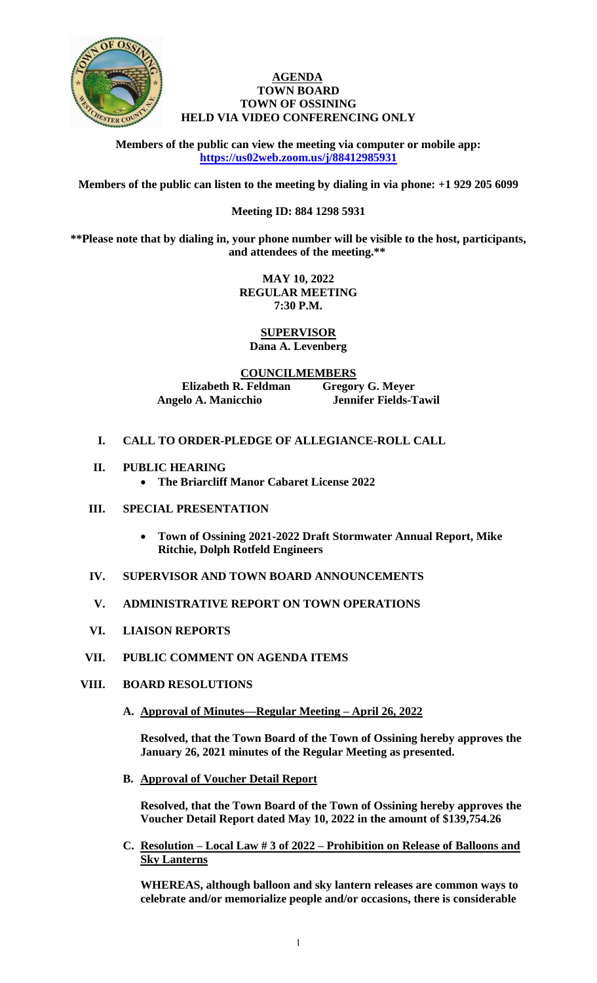

## **AGENDA TOWN BOARD TOWN OF OSSINING HELD VIA VIDEO CONFERENCING ONLY**

**Members of the public can view the meeting via computer or mobile app: <https://us02web.zoom.us/j/88412985931>**

**Members of the public can listen to the meeting by dialing in via phone: +1 929 205 6099** 

# **Meeting ID: 884 1298 5931**

**\*\*Please note that by dialing in, your phone number will be visible to the host, participants, and attendees of the meeting.\*\*** 

> **MAY 10, 2022 REGULAR MEETING 7:30 P.M.**

**SUPERVISOR Dana A. Levenberg**

**COUNCILMEMBERS Elizabeth R. Feldman Gregory G. Meyer Angelo A. Manicchio Jennifer Fields-Tawil**

- **I. CALL TO ORDER-PLEDGE OF ALLEGIANCE-ROLL CALL**
- **II. PUBLIC HEARING**
	- **The Briarcliff Manor Cabaret License 2022**
- **III. SPECIAL PRESENTATION**
	- **Town of Ossining 2021-2022 Draft Stormwater Annual Report, Mike Ritchie, Dolph Rotfeld Engineers**
- **IV. SUPERVISOR AND TOWN BOARD ANNOUNCEMENTS**
- **V. ADMINISTRATIVE REPORT ON TOWN OPERATIONS**
- **VI. LIAISON REPORTS**
- **VII. PUBLIC COMMENT ON AGENDA ITEMS**
- **VIII. BOARD RESOLUTIONS**
	- **A. Approval of Minutes—Regular Meeting – April 26, 2022**

**Resolved, that the Town Board of the Town of Ossining hereby approves the January 26, 2021 minutes of the Regular Meeting as presented.**

**B. Approval of Voucher Detail Report**

**Resolved, that the Town Board of the Town of Ossining hereby approves the Voucher Detail Report dated May 10, 2022 in the amount of \$139,754.26**

**C. Resolution – Local Law # 3 of 2022 – Prohibition on Release of Balloons and Sky Lanterns**

**WHEREAS, although balloon and sky lantern releases are common ways to celebrate and/or memorialize people and/or occasions, there is considerable**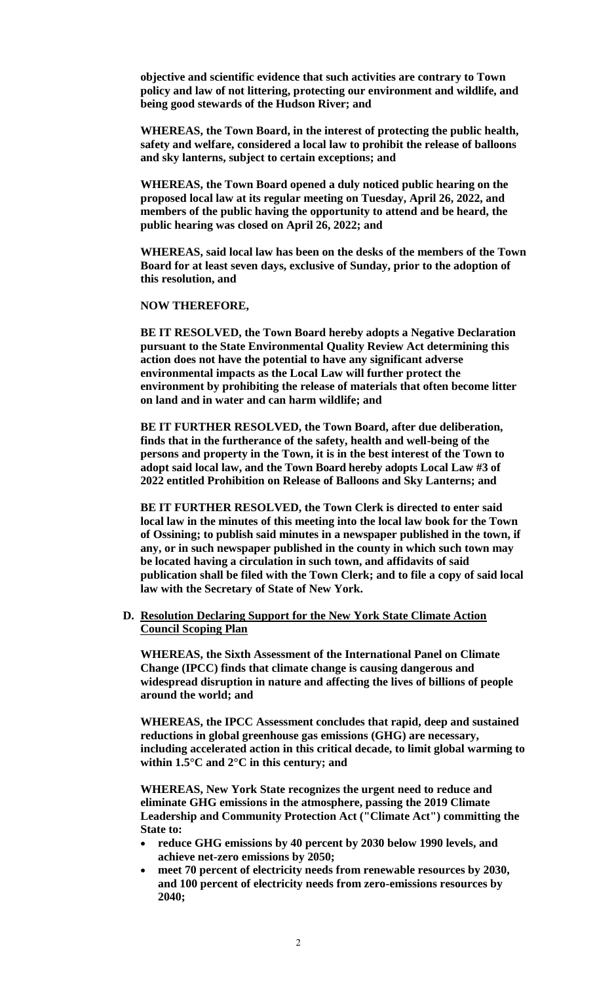**objective and scientific evidence that such activities are contrary to Town policy and law of not littering, protecting our environment and wildlife, and being good stewards of the Hudson River; and**

**WHEREAS, the Town Board, in the interest of protecting the public health, safety and welfare, considered a local law to prohibit the release of balloons and sky lanterns, subject to certain exceptions; and**

**WHEREAS, the Town Board opened a duly noticed public hearing on the proposed local law at its regular meeting on Tuesday, April 26, 2022, and members of the public having the opportunity to attend and be heard, the public hearing was closed on April 26, 2022; and**

**WHEREAS, said local law has been on the desks of the members of the Town Board for at least seven days, exclusive of Sunday, prior to the adoption of this resolution, and**

**NOW THEREFORE,**

**BE IT RESOLVED, the Town Board hereby adopts a Negative Declaration pursuant to the State Environmental Quality Review Act determining this action does not have the potential to have any significant adverse environmental impacts as the Local Law will further protect the environment by prohibiting the release of materials that often become litter on land and in water and can harm wildlife; and**

**BE IT FURTHER RESOLVED, the Town Board, after due deliberation, finds that in the furtherance of the safety, health and well-being of the persons and property in the Town, it is in the best interest of the Town to adopt said local law, and the Town Board hereby adopts Local Law #3 of 2022 entitled Prohibition on Release of Balloons and Sky Lanterns; and** 

**BE IT FURTHER RESOLVED, the Town Clerk is directed to enter said local law in the minutes of this meeting into the local law book for the Town of Ossining; to publish said minutes in a newspaper published in the town, if any, or in such newspaper published in the county in which such town may be located having a circulation in such town, and affidavits of said publication shall be filed with the Town Clerk; and to file a copy of said local law with the Secretary of State of New York.**

**D. Resolution Declaring Support for the New York State Climate Action Council Scoping Plan**

**WHEREAS, the Sixth Assessment of the International Panel on Climate Change (IPCC) finds that climate change is causing dangerous and widespread disruption in nature and affecting the lives of billions of people around the world; and**

**WHEREAS, the IPCC Assessment concludes that rapid, deep and sustained reductions in global greenhouse gas emissions (GHG) are necessary, including accelerated action in this critical decade, to limit global warming to within 1.5°C and 2°C in this century; and**

**WHEREAS, New York State recognizes the urgent need to reduce and eliminate GHG emissions in the atmosphere, passing the 2019 Climate Leadership and Community Protection Act ("Climate Act") committing the State to:** 

- **reduce GHG emissions by 40 percent by 2030 below 1990 levels, and achieve net-zero emissions by 2050;**
- **meet 70 percent of electricity needs from renewable resources by 2030, and 100 percent of electricity needs from zero-emissions resources by 2040;**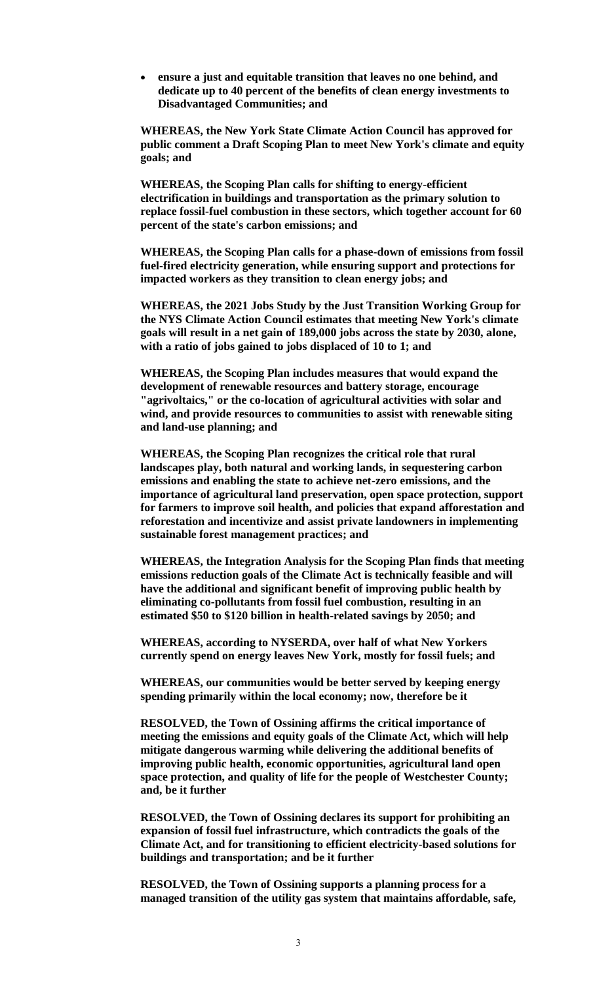**ensure a just and equitable transition that leaves no one behind, and dedicate up to 40 percent of the benefits of clean energy investments to Disadvantaged Communities; and**

**WHEREAS, the New York State Climate Action Council has approved for public comment a Draft Scoping Plan to meet New York's climate and equity goals; and**

**WHEREAS, the Scoping Plan calls for shifting to energy-efficient electrification in buildings and transportation as the primary solution to replace fossil-fuel combustion in these sectors, which together account for 60 percent of the state's carbon emissions; and**

**WHEREAS, the Scoping Plan calls for a phase-down of emissions from fossil fuel-fired electricity generation, while ensuring support and protections for impacted workers as they transition to clean energy jobs; and**

**WHEREAS, the 2021 Jobs Study by the Just Transition Working Group for the NYS Climate Action Council estimates that meeting New York's climate goals will result in a net gain of 189,000 jobs across the state by 2030, alone, with a ratio of jobs gained to jobs displaced of 10 to 1; and**

**WHEREAS, the Scoping Plan includes measures that would expand the development of renewable resources and battery storage, encourage "agrivoltaics," or the co-location of agricultural activities with solar and wind, and provide resources to communities to assist with renewable siting and land-use planning; and**

**WHEREAS, the Scoping Plan recognizes the critical role that rural landscapes play, both natural and working lands, in sequestering carbon emissions and enabling the state to achieve net-zero emissions, and the importance of agricultural land preservation, open space protection, support for farmers to improve soil health, and policies that expand afforestation and reforestation and incentivize and assist private landowners in implementing sustainable forest management practices; and** 

**WHEREAS, the Integration Analysis for the Scoping Plan finds that meeting emissions reduction goals of the Climate Act is technically feasible and will have the additional and significant benefit of improving public health by eliminating co-pollutants from fossil fuel combustion, resulting in an estimated \$50 to \$120 billion in health-related savings by 2050; and**

**WHEREAS, according to NYSERDA, over half of what New Yorkers currently spend on energy leaves New York, mostly for fossil fuels; and**

**WHEREAS, our communities would be better served by keeping energy spending primarily within the local economy; now, therefore be it** 

**RESOLVED, the Town of Ossining affirms the critical importance of meeting the emissions and equity goals of the Climate Act, which will help mitigate dangerous warming while delivering the additional benefits of improving public health, economic opportunities, agricultural land open space protection, and quality of life for the people of Westchester County; and, be it further**

**RESOLVED, the Town of Ossining declares its support for prohibiting an expansion of fossil fuel infrastructure, which contradicts the goals of the Climate Act, and for transitioning to efficient electricity-based solutions for buildings and transportation; and be it further** 

**RESOLVED, the Town of Ossining supports a planning process for a managed transition of the utility gas system that maintains affordable, safe,**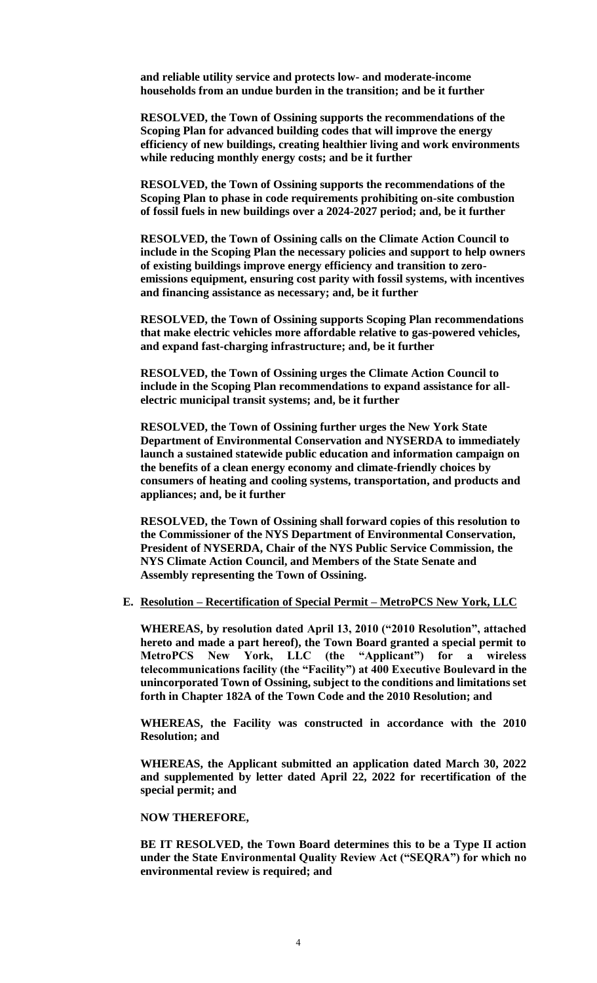**and reliable utility service and protects low- and moderate-income households from an undue burden in the transition; and be it further**

**RESOLVED, the Town of Ossining supports the recommendations of the Scoping Plan for advanced building codes that will improve the energy efficiency of new buildings, creating healthier living and work environments while reducing monthly energy costs; and be it further** 

**RESOLVED, the Town of Ossining supports the recommendations of the Scoping Plan to phase in code requirements prohibiting on-site combustion of fossil fuels in new buildings over a 2024-2027 period; and, be it further**

**RESOLVED, the Town of Ossining calls on the Climate Action Council to include in the Scoping Plan the necessary policies and support to help owners of existing buildings improve energy efficiency and transition to zeroemissions equipment, ensuring cost parity with fossil systems, with incentives and financing assistance as necessary; and, be it further**

**RESOLVED, the Town of Ossining supports Scoping Plan recommendations that make electric vehicles more affordable relative to gas-powered vehicles, and expand fast-charging infrastructure; and, be it further**

**RESOLVED, the Town of Ossining urges the Climate Action Council to include in the Scoping Plan recommendations to expand assistance for allelectric municipal transit systems; and, be it further**

**RESOLVED, the Town of Ossining further urges the New York State Department of Environmental Conservation and NYSERDA to immediately launch a sustained statewide public education and information campaign on the benefits of a clean energy economy and climate-friendly choices by consumers of heating and cooling systems, transportation, and products and appliances; and, be it further**

**RESOLVED, the Town of Ossining shall forward copies of this resolution to the Commissioner of the NYS Department of Environmental Conservation, President of NYSERDA, Chair of the NYS Public Service Commission, the NYS Climate Action Council, and Members of the State Senate and Assembly representing the Town of Ossining.** 

#### **E. Resolution – Recertification of Special Permit – MetroPCS New York, LLC**

**WHEREAS, by resolution dated April 13, 2010 ("2010 Resolution", attached hereto and made a part hereof), the Town Board granted a special permit to MetroPCS New York, LLC (the "Applicant") for a wireless telecommunications facility (the "Facility") at 400 Executive Boulevard in the unincorporated Town of Ossining, subject to the conditions and limitations set forth in Chapter 182A of the Town Code and the 2010 Resolution; and**

**WHEREAS, the Facility was constructed in accordance with the 2010 Resolution; and**

**WHEREAS, the Applicant submitted an application dated March 30, 2022 and supplemented by letter dated April 22, 2022 for recertification of the special permit; and**

#### **NOW THEREFORE,**

**BE IT RESOLVED, the Town Board determines this to be a Type II action under the State Environmental Quality Review Act ("SEQRA") for which no environmental review is required; and**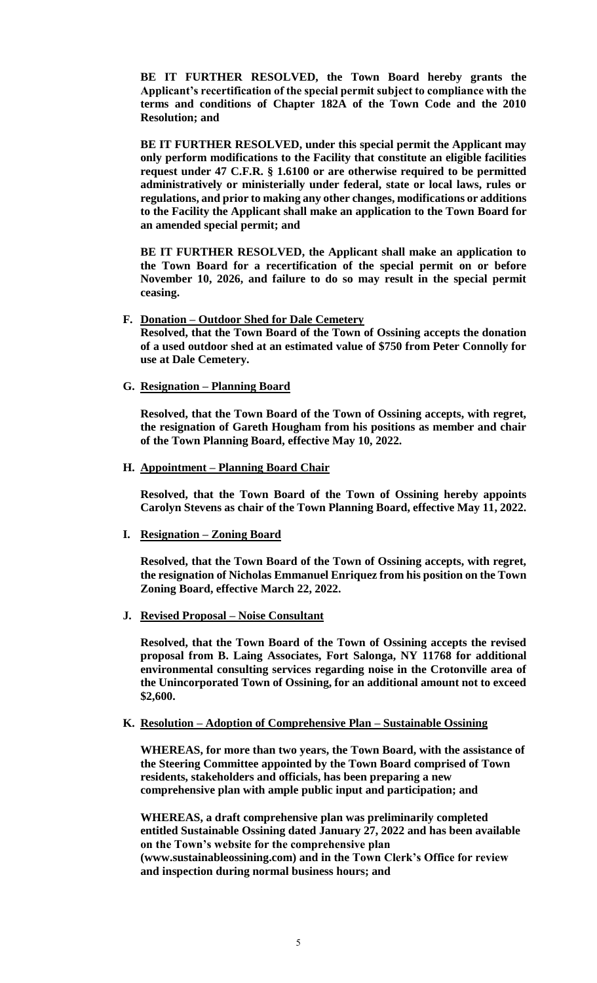**BE IT FURTHER RESOLVED, the Town Board hereby grants the Applicant's recertification of the special permit subject to compliance with the terms and conditions of Chapter 182A of the Town Code and the 2010 Resolution; and** 

**BE IT FURTHER RESOLVED, under this special permit the Applicant may only perform modifications to the Facility that constitute an eligible facilities request under 47 C.F.R. § 1.6100 or are otherwise required to be permitted administratively or ministerially under federal, state or local laws, rules or regulations, and prior to making any other changes, modifications or additions to the Facility the Applicant shall make an application to the Town Board for an amended special permit; and**

**BE IT FURTHER RESOLVED, the Applicant shall make an application to the Town Board for a recertification of the special permit on or before November 10, 2026, and failure to do so may result in the special permit ceasing.** 

### **F. Donation – Outdoor Shed for Dale Cemetery**

**Resolved, that the Town Board of the Town of Ossining accepts the donation of a used outdoor shed at an estimated value of \$750 from Peter Connolly for use at Dale Cemetery.** 

**G. Resignation – Planning Board**

**Resolved, that the Town Board of the Town of Ossining accepts, with regret, the resignation of Gareth Hougham from his positions as member and chair of the Town Planning Board, effective May 10, 2022.** 

**H. Appointment – Planning Board Chair**

**Resolved, that the Town Board of the Town of Ossining hereby appoints Carolyn Stevens as chair of the Town Planning Board, effective May 11, 2022.** 

**I. Resignation – Zoning Board**

**Resolved, that the Town Board of the Town of Ossining accepts, with regret, the resignation of Nicholas Emmanuel Enriquez from his position on the Town Zoning Board, effective March 22, 2022.** 

**J. Revised Proposal – Noise Consultant**

**Resolved, that the Town Board of the Town of Ossining accepts the revised proposal from B. Laing Associates, Fort Salonga, NY 11768 for additional environmental consulting services regarding noise in the Crotonville area of the Unincorporated Town of Ossining, for an additional amount not to exceed \$2,600.** 

# **K. Resolution – Adoption of Comprehensive Plan – Sustainable Ossining**

**WHEREAS, for more than two years, the Town Board, with the assistance of the Steering Committee appointed by the Town Board comprised of Town residents, stakeholders and officials, has been preparing a new comprehensive plan with ample public input and participation; and** 

**WHEREAS, a draft comprehensive plan was preliminarily completed entitled Sustainable Ossining dated January 27, 2022 and has been available on the Town's website for the comprehensive plan (www.sustainableossining.com) and in the Town Clerk's Office for review and inspection during normal business hours; and**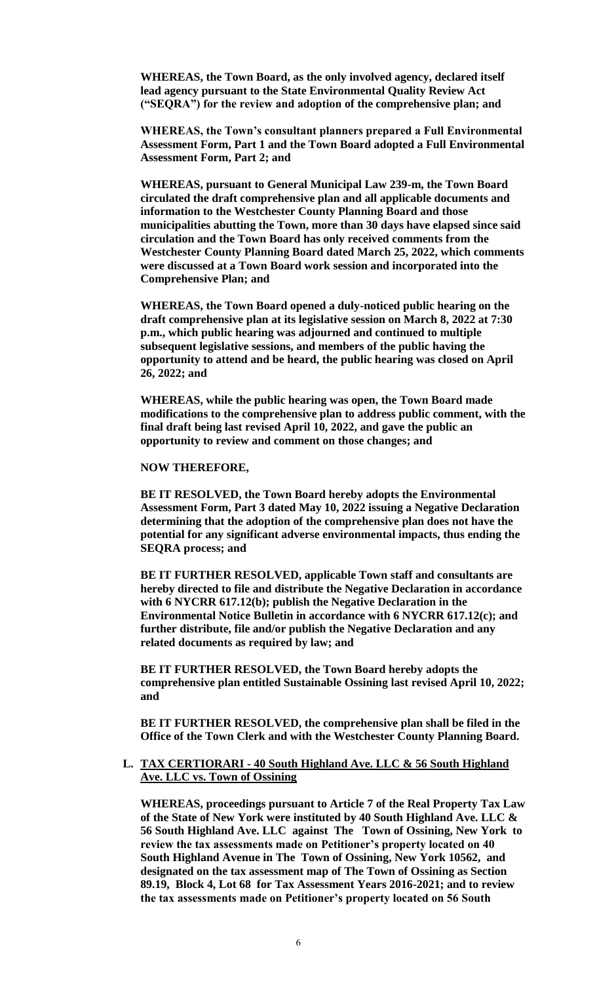**WHEREAS, the Town Board, as the only involved agency, declared itself lead agency pursuant to the State Environmental Quality Review Act ("SEQRA") for the review and adoption of the comprehensive plan; and**

**WHEREAS, the Town's consultant planners prepared a Full Environmental Assessment Form, Part 1 and the Town Board adopted a Full Environmental Assessment Form, Part 2; and**

**WHEREAS, pursuant to General Municipal Law 239-m, the Town Board circulated the draft comprehensive plan and all applicable documents and information to the Westchester County Planning Board and those municipalities abutting the Town, more than 30 days have elapsed since said circulation and the Town Board has only received comments from the Westchester County Planning Board dated March 25, 2022, which comments were discussed at a Town Board work session and incorporated into the Comprehensive Plan; and**

**WHEREAS, the Town Board opened a duly-noticed public hearing on the draft comprehensive plan at its legislative session on March 8, 2022 at 7:30 p.m., which public hearing was adjourned and continued to multiple subsequent legislative sessions, and members of the public having the opportunity to attend and be heard, the public hearing was closed on April 26, 2022; and**

**WHEREAS, while the public hearing was open, the Town Board made modifications to the comprehensive plan to address public comment, with the final draft being last revised April 10, 2022, and gave the public an opportunity to review and comment on those changes; and**

**NOW THEREFORE,**

**BE IT RESOLVED, the Town Board hereby adopts the Environmental Assessment Form, Part 3 dated May 10, 2022 issuing a Negative Declaration determining that the adoption of the comprehensive plan does not have the potential for any significant adverse environmental impacts, thus ending the SEQRA process; and**

**BE IT FURTHER RESOLVED, applicable Town staff and consultants are hereby directed to file and distribute the Negative Declaration in accordance with 6 NYCRR 617.12(b); publish the Negative Declaration in the Environmental Notice Bulletin in accordance with 6 NYCRR 617.12(c); and further distribute, file and/or publish the Negative Declaration and any related documents as required by law; and**

**BE IT FURTHER RESOLVED, the Town Board hereby adopts the comprehensive plan entitled Sustainable Ossining last revised April 10, 2022; and**

**BE IT FURTHER RESOLVED, the comprehensive plan shall be filed in the Office of the Town Clerk and with the Westchester County Planning Board.**

# **L. TAX CERTIORARI - 40 South Highland Ave. LLC & 56 South Highland Ave. LLC vs. Town of Ossining**

**WHEREAS, proceedings pursuant to Article 7 of the Real Property Tax Law of the State of New York were instituted by 40 South Highland Ave. LLC & 56 South Highland Ave. LLC against The Town of Ossining, New York to review the tax assessments made on Petitioner's property located on 40 South Highland Avenue in The Town of Ossining, New York 10562, and designated on the tax assessment map of The Town of Ossining as Section 89.19, Block 4, Lot 68 for Tax Assessment Years 2016-2021; and to review the tax assessments made on Petitioner's property located on 56 South**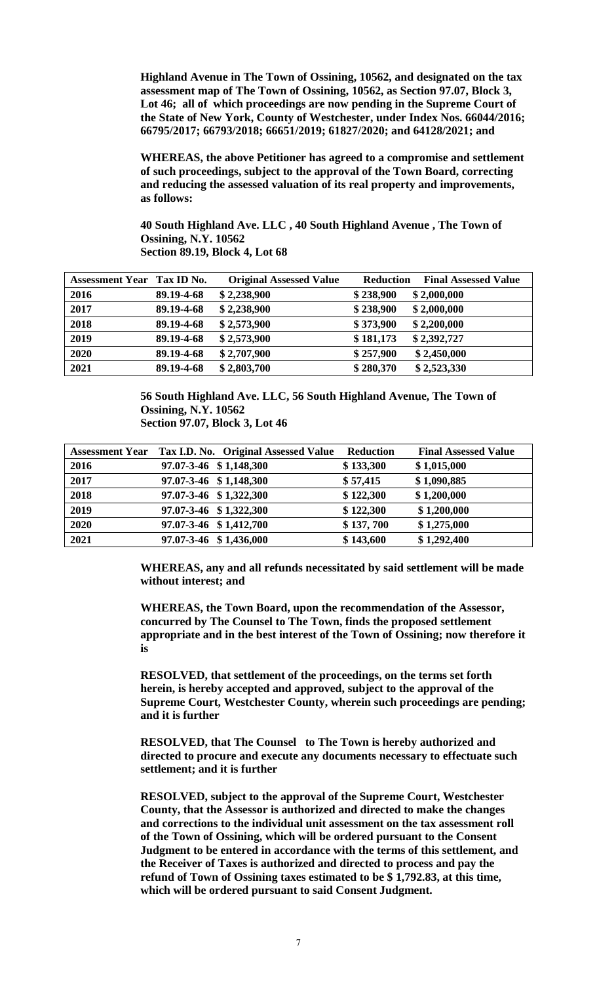**Highland Avenue in The Town of Ossining, 10562, and designated on the tax assessment map of The Town of Ossining, 10562, as Section 97.07, Block 3, Lot 46; all of which proceedings are now pending in the Supreme Court of the State of New York, County of Westchester, under Index Nos. 66044/2016; 66795/2017; 66793/2018; 66651/2019; 61827/2020; and 64128/2021; and** 

**WHEREAS, the above Petitioner has agreed to a compromise and settlement of such proceedings, subject to the approval of the Town Board, correcting and reducing the assessed valuation of its real property and improvements, as follows:**

**40 South Highland Ave. LLC , 40 South Highland Avenue , The Town of Ossining, N.Y. 10562 Section 89.19, Block 4, Lot 68**

| Assessment Year Tax ID No. |            | <b>Original Assessed Value</b> | <b>Reduction</b><br><b>Final Assessed Value</b> |
|----------------------------|------------|--------------------------------|-------------------------------------------------|
| 2016                       | 89.19-4-68 | \$2,238,900                    | \$238,900<br>\$2,000,000                        |
| 2017                       | 89.19-4-68 | \$2,238,900                    | \$238,900<br>\$2,000,000                        |
| 2018                       | 89.19-4-68 | \$2,573,900                    | \$373,900<br>\$2,200,000                        |
| 2019                       | 89.19-4-68 | \$2,573,900                    | \$2,392,727<br>\$181,173                        |
| 2020                       | 89.19-4-68 | \$2,707,900                    | \$257,900<br>\$2,450,000                        |
| 2021                       | 89.19-4-68 | \$2,803,700                    | \$280,370<br>\$2,523,330                        |

**56 South Highland Ave. LLC, 56 South Highland Avenue, The Town of Ossining, N.Y. 10562 Section 97.07, Block 3, Lot 46**

|      | Assessment Year Tax I.D. No. Original Assessed Value | <b>Reduction</b> | <b>Final Assessed Value</b> |
|------|------------------------------------------------------|------------------|-----------------------------|
| 2016 | 97.07-3-46 \$1,148,300                               | \$133,300        | \$1,015,000                 |
| 2017 | 97.07-3-46 \$1,148,300                               | \$57,415         | \$1,090,885                 |
| 2018 | 97.07-3-46 \$1,322,300                               | \$122,300        | \$1,200,000                 |
| 2019 | 97.07-3-46 \$1,322,300                               | \$122,300        | \$1,200,000                 |
| 2020 | 97.07-3-46 \$1,412,700                               | \$137,700        | \$1,275,000                 |
| 2021 | 97.07-3-46 \$1,436,000                               | \$143,600        | \$1,292,400                 |

**WHEREAS, any and all refunds necessitated by said settlement will be made without interest; and** 

**WHEREAS, the Town Board, upon the recommendation of the Assessor, concurred by The Counsel to The Town, finds the proposed settlement appropriate and in the best interest of the Town of Ossining; now therefore it is**

**RESOLVED, that settlement of the proceedings, on the terms set forth herein, is hereby accepted and approved, subject to the approval of the Supreme Court, Westchester County, wherein such proceedings are pending; and it is further**

**RESOLVED, that The Counsel to The Town is hereby authorized and directed to procure and execute any documents necessary to effectuate such settlement; and it is further**

**RESOLVED, subject to the approval of the Supreme Court, Westchester County, that the Assessor is authorized and directed to make the changes and corrections to the individual unit assessment on the tax assessment roll of the Town of Ossining, which will be ordered pursuant to the Consent Judgment to be entered in accordance with the terms of this settlement, and the Receiver of Taxes is authorized and directed to process and pay the refund of Town of Ossining taxes estimated to be \$ 1,792.83, at this time, which will be ordered pursuant to said Consent Judgment.**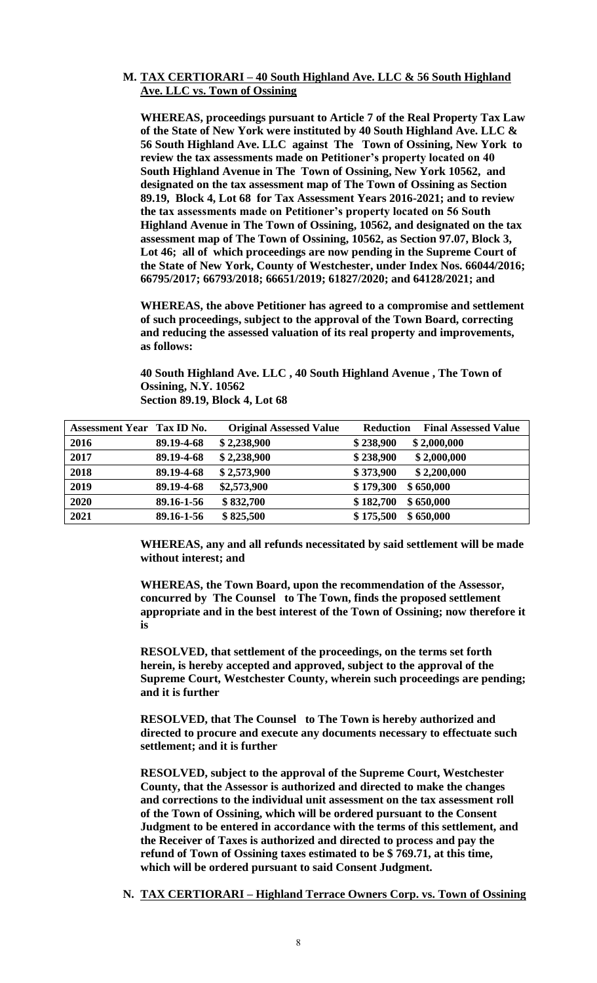# **M. TAX CERTIORARI – 40 South Highland Ave. LLC & 56 South Highland Ave. LLC vs. Town of Ossining**

**WHEREAS, proceedings pursuant to Article 7 of the Real Property Tax Law of the State of New York were instituted by 40 South Highland Ave. LLC & 56 South Highland Ave. LLC against The Town of Ossining, New York to review the tax assessments made on Petitioner's property located on 40 South Highland Avenue in The Town of Ossining, New York 10562, and designated on the tax assessment map of The Town of Ossining as Section 89.19, Block 4, Lot 68 for Tax Assessment Years 2016-2021; and to review the tax assessments made on Petitioner's property located on 56 South Highland Avenue in The Town of Ossining, 10562, and designated on the tax assessment map of The Town of Ossining, 10562, as Section 97.07, Block 3, Lot 46; all of which proceedings are now pending in the Supreme Court of the State of New York, County of Westchester, under Index Nos. 66044/2016; 66795/2017; 66793/2018; 66651/2019; 61827/2020; and 64128/2021; and** 

**WHEREAS, the above Petitioner has agreed to a compromise and settlement of such proceedings, subject to the approval of the Town Board, correcting and reducing the assessed valuation of its real property and improvements, as follows:**

**40 South Highland Ave. LLC , 40 South Highland Avenue , The Town of Ossining, N.Y. 10562 Section 89.19, Block 4, Lot 68**

| <b>Assessment Year Tax ID No.</b> |            | <b>Original Assessed Value</b> | <b>Final Assessed Value</b><br><b>Reduction</b> |
|-----------------------------------|------------|--------------------------------|-------------------------------------------------|
| 2016                              | 89.19-4-68 | \$2,238,900                    | \$238,900<br>\$2,000,000                        |
| 2017                              | 89.19-4-68 | \$2,238,900                    | \$238,900<br>\$2,000,000                        |
| 2018                              | 89.19-4-68 | \$2,573,900                    | \$373,900<br>\$2,200,000                        |
| 2019                              | 89.19-4-68 | \$2,573,900                    | \$650,000<br>\$179,300                          |
| 2020                              | 89.16-1-56 | \$832,700                      | \$650,000<br>\$182,700                          |
| 2021                              | 89.16-1-56 | \$825,500                      | \$175,500<br>\$650,000                          |

**WHEREAS, any and all refunds necessitated by said settlement will be made without interest; and** 

**WHEREAS, the Town Board, upon the recommendation of the Assessor, concurred by The Counsel to The Town, finds the proposed settlement appropriate and in the best interest of the Town of Ossining; now therefore it is**

**RESOLVED, that settlement of the proceedings, on the terms set forth herein, is hereby accepted and approved, subject to the approval of the Supreme Court, Westchester County, wherein such proceedings are pending; and it is further**

**RESOLVED, that The Counsel to The Town is hereby authorized and directed to procure and execute any documents necessary to effectuate such settlement; and it is further**

**RESOLVED, subject to the approval of the Supreme Court, Westchester County, that the Assessor is authorized and directed to make the changes and corrections to the individual unit assessment on the tax assessment roll of the Town of Ossining, which will be ordered pursuant to the Consent Judgment to be entered in accordance with the terms of this settlement, and the Receiver of Taxes is authorized and directed to process and pay the refund of Town of Ossining taxes estimated to be \$ 769.71, at this time, which will be ordered pursuant to said Consent Judgment.** 

**N. TAX CERTIORARI – Highland Terrace Owners Corp. vs. Town of Ossining**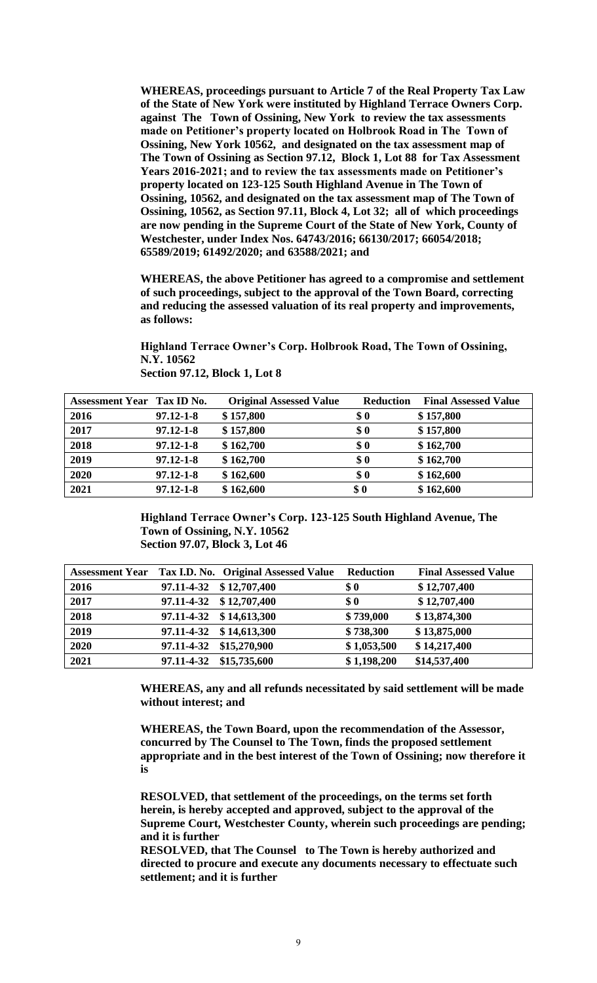**WHEREAS, proceedings pursuant to Article 7 of the Real Property Tax Law of the State of New York were instituted by Highland Terrace Owners Corp. against The Town of Ossining, New York to review the tax assessments made on Petitioner's property located on Holbrook Road in The Town of Ossining, New York 10562, and designated on the tax assessment map of The Town of Ossining as Section 97.12, Block 1, Lot 88 for Tax Assessment Years 2016-2021; and to review the tax assessments made on Petitioner's property located on 123-125 South Highland Avenue in The Town of Ossining, 10562, and designated on the tax assessment map of The Town of Ossining, 10562, as Section 97.11, Block 4, Lot 32; all of which proceedings are now pending in the Supreme Court of the State of New York, County of Westchester, under Index Nos. 64743/2016; 66130/2017; 66054/2018; 65589/2019; 61492/2020; and 63588/2021; and** 

**WHEREAS, the above Petitioner has agreed to a compromise and settlement of such proceedings, subject to the approval of the Town Board, correcting and reducing the assessed valuation of its real property and improvements, as follows:**

**Highland Terrace Owner's Corp. Holbrook Road, The Town of Ossining, N.Y. 10562**

| Assessment Year Tax ID No. |                 | <b>Original Assessed Value</b> | <b>Reduction</b> | <b>Final Assessed Value</b> |
|----------------------------|-----------------|--------------------------------|------------------|-----------------------------|
| 2016                       | $97.12 - 1 - 8$ | \$157,800                      | \$0              | \$157,800                   |
| 2017                       | $97.12 - 1 - 8$ | \$157,800                      | \$0              | \$157,800                   |
| 2018                       | $97.12 - 1 - 8$ | \$162,700                      | \$0              | \$162,700                   |
| 2019                       | $97.12 - 1 - 8$ | \$162,700                      | \$0              | \$162,700                   |
| 2020                       | $97.12 - 1 - 8$ | \$162,600                      | \$0              | \$162,600                   |
| 2021                       | $97.12 - 1 - 8$ | \$162,600                      | \$0              | \$162,600                   |

**Section 97.12, Block 1, Lot 8**

**Highland Terrace Owner's Corp. 123-125 South Highland Avenue, The Town of Ossining, N.Y. 10562 Section 97.07, Block 3, Lot 46**

| <b>Assessment Year</b> |            | Tax I.D. No. Original Assessed Value | <b>Reduction</b>   | <b>Final Assessed Value</b> |
|------------------------|------------|--------------------------------------|--------------------|-----------------------------|
| 2016                   | 97.11-4-32 | \$12,707,400                         | \$0                | \$12,707,400                |
| 2017                   | 97.11-4-32 | \$12,707,400                         | $\boldsymbol{\$0}$ | \$12,707,400                |
| 2018                   |            | 97.11-4-32 \$14,613,300              | \$739,000          | \$13,874,300                |
| 2019                   | 97.11-4-32 | \$14,613,300                         | \$738,300          | \$13,875,000                |
| 2020                   | 97.11-4-32 | \$15,270,900                         | \$1,053,500        | \$14,217,400                |
| 2021                   | 97.11-4-32 | \$15,735,600                         | \$1,198,200        | \$14,537,400                |

**WHEREAS, any and all refunds necessitated by said settlement will be made without interest; and** 

**WHEREAS, the Town Board, upon the recommendation of the Assessor, concurred by The Counsel to The Town, finds the proposed settlement appropriate and in the best interest of the Town of Ossining; now therefore it is**

**RESOLVED, that settlement of the proceedings, on the terms set forth herein, is hereby accepted and approved, subject to the approval of the Supreme Court, Westchester County, wherein such proceedings are pending; and it is further**

**RESOLVED, that The Counsel to The Town is hereby authorized and directed to procure and execute any documents necessary to effectuate such settlement; and it is further**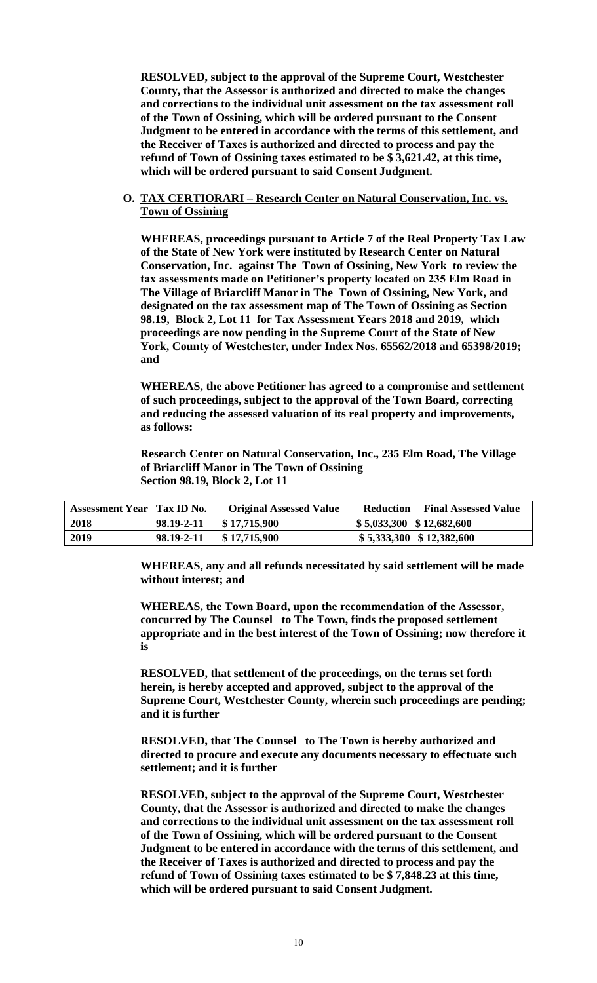**RESOLVED, subject to the approval of the Supreme Court, Westchester County, that the Assessor is authorized and directed to make the changes and corrections to the individual unit assessment on the tax assessment roll of the Town of Ossining, which will be ordered pursuant to the Consent Judgment to be entered in accordance with the terms of this settlement, and the Receiver of Taxes is authorized and directed to process and pay the refund of Town of Ossining taxes estimated to be \$ 3,621.42, at this time, which will be ordered pursuant to said Consent Judgment.** 

## **O. TAX CERTIORARI – Research Center on Natural Conservation, Inc. vs. Town of Ossining**

**WHEREAS, proceedings pursuant to Article 7 of the Real Property Tax Law of the State of New York were instituted by Research Center on Natural Conservation, Inc. against The Town of Ossining, New York to review the tax assessments made on Petitioner's property located on 235 Elm Road in The Village of Briarcliff Manor in The Town of Ossining, New York, and designated on the tax assessment map of The Town of Ossining as Section 98.19, Block 2, Lot 11 for Tax Assessment Years 2018 and 2019, which proceedings are now pending in the Supreme Court of the State of New York, County of Westchester, under Index Nos. 65562/2018 and 65398/2019; and** 

**WHEREAS, the above Petitioner has agreed to a compromise and settlement of such proceedings, subject to the approval of the Town Board, correcting and reducing the assessed valuation of its real property and improvements, as follows:**

**Research Center on Natural Conservation, Inc., 235 Elm Road, The Village of Briarcliff Manor in The Town of Ossining Section 98.19, Block 2, Lot 11**

| Assessment Year Tax ID No. |            | <b>Original Assessed Value</b> |                            | <b>Reduction</b> Final Assessed Value |
|----------------------------|------------|--------------------------------|----------------------------|---------------------------------------|
| 2018                       | 98.19-2-11 | \$17,715,900                   | $$5,033,300$ $$12,682,600$ |                                       |
| 2019                       | 98.19-2-11 | \$17,715,900                   | $$5,333,300 \$12,382,600$  |                                       |

**WHEREAS, any and all refunds necessitated by said settlement will be made without interest; and** 

**WHEREAS, the Town Board, upon the recommendation of the Assessor, concurred by The Counsel to The Town, finds the proposed settlement appropriate and in the best interest of the Town of Ossining; now therefore it is**

**RESOLVED, that settlement of the proceedings, on the terms set forth herein, is hereby accepted and approved, subject to the approval of the Supreme Court, Westchester County, wherein such proceedings are pending; and it is further**

**RESOLVED, that The Counsel to The Town is hereby authorized and directed to procure and execute any documents necessary to effectuate such settlement; and it is further**

**RESOLVED, subject to the approval of the Supreme Court, Westchester County, that the Assessor is authorized and directed to make the changes and corrections to the individual unit assessment on the tax assessment roll of the Town of Ossining, which will be ordered pursuant to the Consent Judgment to be entered in accordance with the terms of this settlement, and the Receiver of Taxes is authorized and directed to process and pay the refund of Town of Ossining taxes estimated to be \$ 7,848.23 at this time, which will be ordered pursuant to said Consent Judgment.**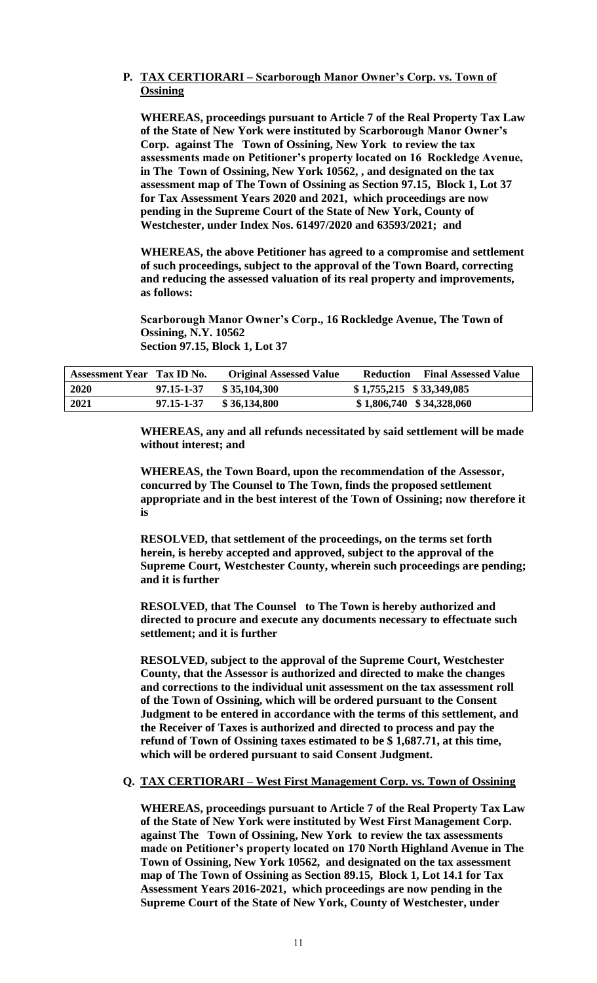# **P. TAX CERTIORARI – Scarborough Manor Owner's Corp. vs. Town of Ossining**

**WHEREAS, proceedings pursuant to Article 7 of the Real Property Tax Law of the State of New York were instituted by Scarborough Manor Owner's Corp. against The Town of Ossining, New York to review the tax assessments made on Petitioner's property located on 16 Rockledge Avenue, in The Town of Ossining, New York 10562, , and designated on the tax assessment map of The Town of Ossining as Section 97.15, Block 1, Lot 37 for Tax Assessment Years 2020 and 2021, which proceedings are now pending in the Supreme Court of the State of New York, County of Westchester, under Index Nos. 61497/2020 and 63593/2021; and** 

**WHEREAS, the above Petitioner has agreed to a compromise and settlement of such proceedings, subject to the approval of the Town Board, correcting and reducing the assessed valuation of its real property and improvements, as follows:**

**Scarborough Manor Owner's Corp., 16 Rockledge Avenue, The Town of Ossining, N.Y. 10562 Section 97.15, Block 1, Lot 37**

| Assessment Year Tax ID No. |            | <b>Original Assessed Value</b> | <b>Reduction</b> Final Assessed Value |
|----------------------------|------------|--------------------------------|---------------------------------------|
| 2020                       | 97.15-1-37 | \$35,104,300                   | $$1,755,215$ $$33,349,085$            |
| 2021                       | 97.15-1-37 | \$36,134,800                   | $$1,806,740$ $$34,328,060$            |

**WHEREAS, any and all refunds necessitated by said settlement will be made without interest; and** 

**WHEREAS, the Town Board, upon the recommendation of the Assessor, concurred by The Counsel to The Town, finds the proposed settlement appropriate and in the best interest of the Town of Ossining; now therefore it is**

**RESOLVED, that settlement of the proceedings, on the terms set forth herein, is hereby accepted and approved, subject to the approval of the Supreme Court, Westchester County, wherein such proceedings are pending; and it is further**

**RESOLVED, that The Counsel to The Town is hereby authorized and directed to procure and execute any documents necessary to effectuate such settlement; and it is further**

**RESOLVED, subject to the approval of the Supreme Court, Westchester County, that the Assessor is authorized and directed to make the changes and corrections to the individual unit assessment on the tax assessment roll of the Town of Ossining, which will be ordered pursuant to the Consent Judgment to be entered in accordance with the terms of this settlement, and the Receiver of Taxes is authorized and directed to process and pay the refund of Town of Ossining taxes estimated to be \$ 1,687.71, at this time, which will be ordered pursuant to said Consent Judgment.** 

# **Q. TAX CERTIORARI – West First Management Corp. vs. Town of Ossining**

**WHEREAS, proceedings pursuant to Article 7 of the Real Property Tax Law of the State of New York were instituted by West First Management Corp. against The Town of Ossining, New York to review the tax assessments made on Petitioner's property located on 170 North Highland Avenue in The Town of Ossining, New York 10562, and designated on the tax assessment map of The Town of Ossining as Section 89.15, Block 1, Lot 14.1 for Tax Assessment Years 2016-2021, which proceedings are now pending in the Supreme Court of the State of New York, County of Westchester, under**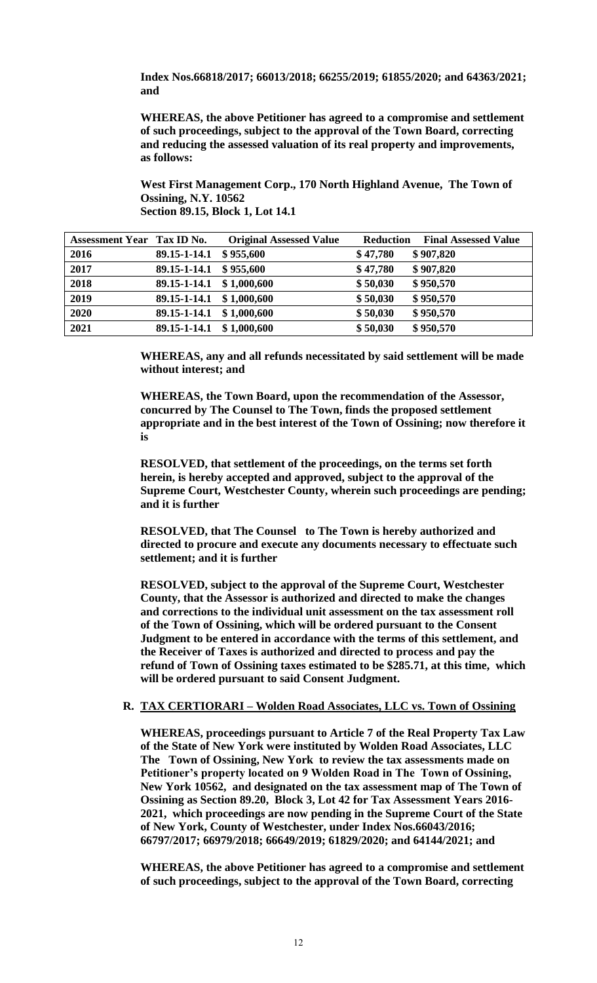**Index Nos.66818/2017; 66013/2018; 66255/2019; 61855/2020; and 64363/2021; and** 

**WHEREAS, the above Petitioner has agreed to a compromise and settlement of such proceedings, subject to the approval of the Town Board, correcting and reducing the assessed valuation of its real property and improvements, as follows:**

**West First Management Corp., 170 North Highland Avenue, The Town of Ossining, N.Y. 10562 Section 89.15, Block 1, Lot 14.1**

| <b>Assessment Year Tax ID No.</b> |              | <b>Original Assessed Value</b> | <b>Final Assessed Value</b><br><b>Reduction</b> |
|-----------------------------------|--------------|--------------------------------|-------------------------------------------------|
| 2016                              | 89.15-1-14.1 | \$955,600                      | \$47,780<br>\$907,820                           |
| 2017                              | 89.15-1-14.1 | \$955,600                      | \$47,780<br>\$907,820                           |
| 2018                              | 89.15-1-14.1 | \$1,000,600                    | \$950,570<br>\$50,030                           |
| 2019                              | 89.15-1-14.1 | \$1,000,600                    | \$50,030<br>\$950,570                           |
| 2020                              | 89.15-1-14.1 | \$1,000,600                    | \$950,570<br>\$50,030                           |
| 2021                              | 89.15-1-14.1 | \$1,000,600                    | \$950,570<br>\$50,030                           |

**WHEREAS, any and all refunds necessitated by said settlement will be made without interest; and** 

**WHEREAS, the Town Board, upon the recommendation of the Assessor, concurred by The Counsel to The Town, finds the proposed settlement appropriate and in the best interest of the Town of Ossining; now therefore it is**

**RESOLVED, that settlement of the proceedings, on the terms set forth herein, is hereby accepted and approved, subject to the approval of the Supreme Court, Westchester County, wherein such proceedings are pending; and it is further**

**RESOLVED, that The Counsel to The Town is hereby authorized and directed to procure and execute any documents necessary to effectuate such settlement; and it is further**

**RESOLVED, subject to the approval of the Supreme Court, Westchester County, that the Assessor is authorized and directed to make the changes and corrections to the individual unit assessment on the tax assessment roll of the Town of Ossining, which will be ordered pursuant to the Consent Judgment to be entered in accordance with the terms of this settlement, and the Receiver of Taxes is authorized and directed to process and pay the refund of Town of Ossining taxes estimated to be \$285.71, at this time, which will be ordered pursuant to said Consent Judgment.** 

#### **R. TAX CERTIORARI – Wolden Road Associates, LLC vs. Town of Ossining**

**WHEREAS, proceedings pursuant to Article 7 of the Real Property Tax Law of the State of New York were instituted by Wolden Road Associates, LLC The Town of Ossining, New York to review the tax assessments made on Petitioner's property located on 9 Wolden Road in The Town of Ossining, New York 10562, and designated on the tax assessment map of The Town of Ossining as Section 89.20, Block 3, Lot 42 for Tax Assessment Years 2016- 2021, which proceedings are now pending in the Supreme Court of the State of New York, County of Westchester, under Index Nos.66043/2016; 66797/2017; 66979/2018; 66649/2019; 61829/2020; and 64144/2021; and** 

**WHEREAS, the above Petitioner has agreed to a compromise and settlement of such proceedings, subject to the approval of the Town Board, correcting**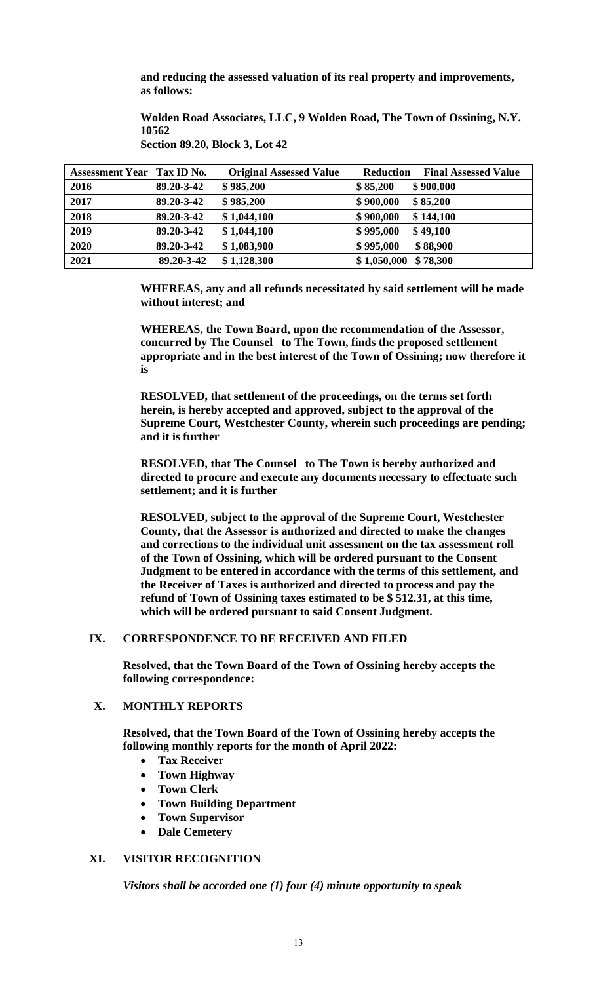**and reducing the assessed valuation of its real property and improvements, as follows:**

**Wolden Road Associates, LLC, 9 Wolden Road, The Town of Ossining, N.Y. 10562**

**Section 89.20, Block 3, Lot 42**

| Assessment Year Tax ID No. |            | <b>Original Assessed Value</b> | <b>Reduction</b><br><b>Final Assessed Value</b> |
|----------------------------|------------|--------------------------------|-------------------------------------------------|
| 2016                       | 89.20-3-42 | \$985,200                      | \$85,200<br>\$900,000                           |
| 2017                       | 89.20-3-42 | \$985,200                      | \$85,200<br>\$900,000                           |
| 2018                       | 89.20-3-42 | \$1,044,100                    | \$144,100<br>\$900,000                          |
| 2019                       | 89.20-3-42 | \$1,044,100                    | \$995,000<br>\$49,100                           |
| 2020                       | 89.20-3-42 | \$1,083,900                    | \$995,000<br>\$88,900                           |
| 2021                       | 89.20-3-42 | \$1,128,300                    | \$1,050,000<br>\$78,300                         |

**WHEREAS, any and all refunds necessitated by said settlement will be made without interest; and** 

**WHEREAS, the Town Board, upon the recommendation of the Assessor, concurred by The Counsel to The Town, finds the proposed settlement appropriate and in the best interest of the Town of Ossining; now therefore it is**

**RESOLVED, that settlement of the proceedings, on the terms set forth herein, is hereby accepted and approved, subject to the approval of the Supreme Court, Westchester County, wherein such proceedings are pending; and it is further**

**RESOLVED, that The Counsel to The Town is hereby authorized and directed to procure and execute any documents necessary to effectuate such settlement; and it is further**

**RESOLVED, subject to the approval of the Supreme Court, Westchester County, that the Assessor is authorized and directed to make the changes and corrections to the individual unit assessment on the tax assessment roll of the Town of Ossining, which will be ordered pursuant to the Consent Judgment to be entered in accordance with the terms of this settlement, and the Receiver of Taxes is authorized and directed to process and pay the refund of Town of Ossining taxes estimated to be \$ 512.31, at this time, which will be ordered pursuant to said Consent Judgment.** 

# **IX. CORRESPONDENCE TO BE RECEIVED AND FILED**

**Resolved, that the Town Board of the Town of Ossining hereby accepts the following correspondence:**

# **X. MONTHLY REPORTS**

**Resolved, that the Town Board of the Town of Ossining hereby accepts the following monthly reports for the month of April 2022:**

- **Tax Receiver**
- **Town Highway**
- **Town Clerk**
- **Town Building Department**
- **Town Supervisor**
- **Dale Cemetery**

# **XI. VISITOR RECOGNITION**

*Visitors shall be accorded one (1) four (4) minute opportunity to speak*